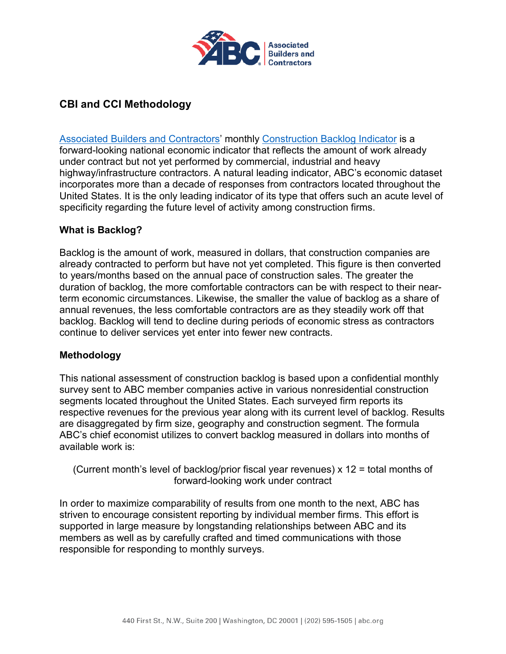

## **CBI and CCI Methodology**

Associated Builders and Contractors' monthly [Construction Backlog Indicator](https://abc.org/News-Media/News-Releases/categoryid/1061/Default) is a forward-looking national economic indicator that reflects the amount of work already under contract but not yet performed by commercial, industrial and heavy highway/infrastructure contractors. A natural leading indicator, ABC's economic dataset incorporates more than a decade of responses from contractors located throughout the United States. It is the only leading indicator of its type that offers such an acute level of specificity regarding the future level of activity among construction firms.

## **What is Backlog?**

Backlog is the amount of work, measured in dollars, that construction companies are already contracted to perform but have not yet completed. This figure is then converted to years/months based on the annual pace of construction sales. The greater the duration of backlog, the more comfortable contractors can be with respect to their nearterm economic circumstances. Likewise, the smaller the value of backlog as a share of annual revenues, the less comfortable contractors are as they steadily work off that backlog. Backlog will tend to decline during periods of economic stress as contractors continue to deliver services yet enter into fewer new contracts.

## **Methodology**

This national assessment of construction backlog is based upon a confidential monthly survey sent to ABC member companies active in various nonresidential construction segments located throughout the United States. Each surveyed firm reports its respective revenues for the previous year along with its current level of backlog. Results are disaggregated by firm size, geography and construction segment. The formula ABC's chief economist utilizes to convert backlog measured in dollars into months of available work is:

(Current month's level of backlog/prior fiscal year revenues) x 12 = total months of forward-looking work under contract

In order to maximize comparability of results from one month to the next, ABC has striven to encourage consistent reporting by individual member firms. This effort is supported in large measure by longstanding relationships between ABC and its members as well as by carefully crafted and timed communications with those responsible for responding to monthly surveys.